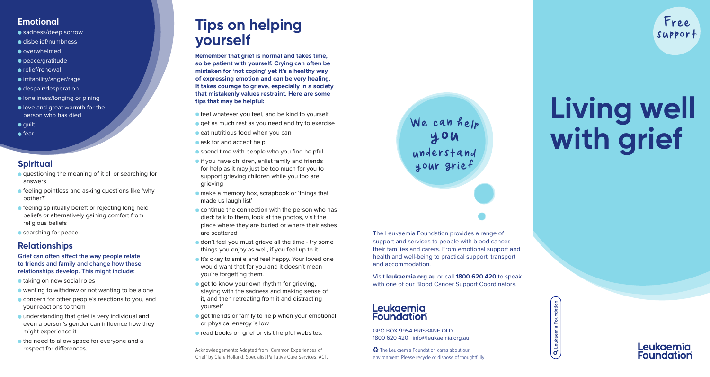#### **Emotional**

- sadness/deep sorrow
- disbelief/numbness
- overwhelmed
- peace/gratitude
- relief/renewal
- irritability/anger/rage
- despair/desperation
- **I** loneliness/longing or pining
- love and great warmth for the person who has died
- $\bullet$  quilt
- $\bullet$  fear

#### **Spiritual**

- **•** questioning the meaning of it all or searching for answers
- **•** feeling pointless and asking questions like 'why bother?'
- **•** feeling spiritually bereft or rejecting long held beliefs or alternatively gaining comfort from religious beliefs
- **•** searching for peace.

#### **Relationships**

**Grief can often affect the way people relate to friends and family and change how those relationships develop. This might include:**

- taking on new social roles
- wanting to withdraw or not wanting to be alone
- **Concern for other people's reactions to you, and** your reactions to them
- understanding that grief is very individual and even a person's gender can influence how they might experience it
- the need to allow space for everyone and a respect for differences.

## **Tips on helping yourself**

**Remember that grief is normal and takes time, so be patient with yourself. Crying can often be mistaken for 'not coping' yet it's a healthy way of expressing emotion and can be very healing. It takes courage to grieve, especially in a society that mistakenly values restraint. Here are some tips that may be helpful:**

**•** feel whatever you feel, and be kind to yourself

- $\bullet$  get as much rest as you need and try to exercise
- $\bullet$  eat nutritious food when you can
- **ask for and accept help**
- **•** spend time with people who you find helpful
- **•** if you have children, enlist family and friends for help as it may just be too much for you to support grieving children while you too are grieving
- make a memory box, scrapbook or 'things that made us laugh list'
- **Continue the connection with the person who has** died: talk to them, look at the photos, visit the place where they are buried or where their ashes are scattered
- **o** don't feel you must grieve all the time try some things you enjoy as well, if you feel up to it
- **It's okay to smile and feel happy. Your loved one** would want that for you and it doesn't mean you're forgetting them.
- **e** get to know your own rhythm for grieving, staying with the sadness and making sense of it, and then retreating from it and distracting yourself
- $\bullet$  get friends or family to help when your emotional or physical energy is low
- **e** read books on grief or visit helpful websites. GPO BOX 9954 BRISBANE QLD

Acknowledgements: Adapted from 'Common Experiences of Grief' by Clare Holland, Specialist Palliative Care Services, ACT. W<sup>e</sup> <sup>c</sup>a<sup>n</sup> hel<sup>p</sup> understand your grief

#### The Leukaemia Foundation provides a range of support and services to people with blood cancer, their families and carers. From emotional support and health and well-being to practical support, transport and accommodation.

Visit **leukaemia.org.au** or call **1800 620 420** to speak with one of our Blood Cancer Support Coordinators.

# Leukaemia<br>Foundation

1800 620 420 info@leukaemia.org.au

 The Leukaemia Foundation cares about our environment. Please recycle or dispose of thoughtfully.

# **Living well with grief**

Free support

Q Leukaemia Foundation